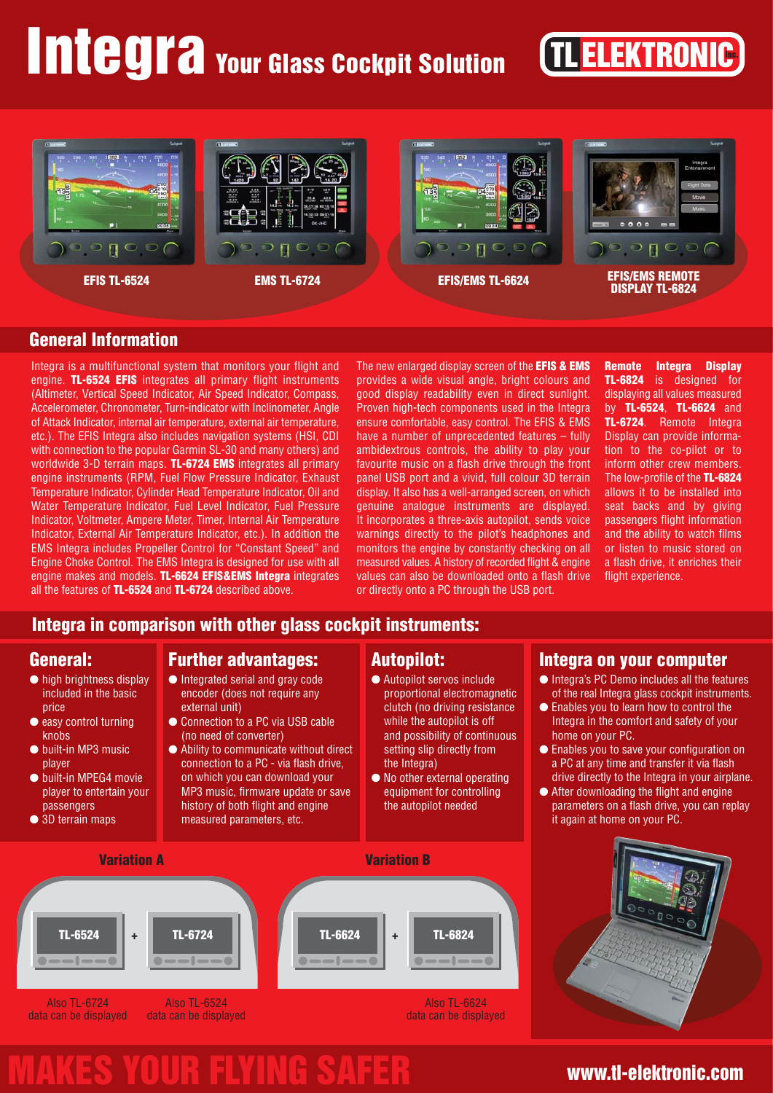# Integra Your Glass Cockpit Solution

## **TL ELEKTRONIC**



## **General Information**

Integra is a multifunctional system that monitors your flight and engine. **TL-6524 EFIS** integrates all primary flight instruments (Altimeter, Vertical Speed Indicator, Air Speed Indicator, Compass, Accelerometer, Chronometer, Turn-indicator with Inclinometer, Angle of Attack Indicator, internal air temperature, external air temperature, etc.). The EFIS Integra also includes navigation systems (HSI, CDI with connection to the popular Garmin SL-30 and many others) and worldwide 3-D terrain maps. **TL-6724 EMS** integrates all primary engine instruments (RPM, Fuel Flow Pressure Indicator, Exhaust Temperature Indicator, Cylinder Head Temperature Indicator, Oil and Water Temperature Indicator, Fuel Level Indicator, Fuel Pressure Indicator, Voltmeter, Ampere Meter, Timer, Internal Air Temperature Indicator, External Air Temperature Indicator, etc.). In addition the EMS Integra includes Propeller Control for "Constant Speed" and Engine Choke Control. The EMS Integra is designed for use with all engine makes and models. **TL-6624 EFIS&EMS Integra** integrates all the features of **TL-6524** and **TL-6724** described above.

The new enlarged display screen of the **EFIS & EMS** provides a wide visual angle, bright colours and good display readability even in direct sunlight. Proven high-tech components used in the Integra ensure comfortable, easy control. The EFIS & EMS have a number of unprecedented features – fully ambidextrous controls, the ability to play your favourite music on a flash drive through the front panel USB port and a vivid, full colour 3D terrain display. It also has a well-arranged screen, on which genuine analogue instruments are displayed. It incorporates a three-axis autopilot, sends voice warnings directly to the pilot's headphones and monitors the engine by constantly checking on all measured values. A history of recorded flight & engine values can also be downloaded onto a flash drive or directly onto a PC through the USB port.

**Remote Integra Display TL-6824** is designed for displaying all values measured by **TL-6524**, **TL-6624** and **TL-6724**. Remote Integra Display can provide information to the co-pilot or to inform other crew members. The low-profile of the **TL-6824** allows it to be installed into seat backs and by giving passengers flight information and the ability to watch films or listen to music stored on a flash drive, it enriches their flight experience.

### **Integra in comparison with other glass cockpit instruments:**

## **General:**

- high brightness display included in the basic price
- easy control turning knobs
- built-in MP3 music player
- built-in MPEG4 movie player to entertain your passengers
- 3D terrain maps

## **Further advantages:**

- Integrated serial and gray code encoder (does not require any external unit)
- Connection to a PC via USB cable (no need of converter)
- Ability to communicate without direct connection to a PC - via flash drive, on which you can download your MP3 music, firmware update or save history of both flight and engine measured parameters, etc.

### **Autopilot:**

- Autopilot servos include proportional electromagnetic clutch (no driving resistance while the autopilot is off and possibility of continuous setting slip directly from the Integra)
- No other external operating equipment for controlling the autopilot needed





**Integra on your computer** ● Integra's PC Demo includes all the features of the real Integra glass cockpit instruments. ● Enables you to learn how to control the Integra in the comfort and safety of your

● Enables you to save your configuration on a PC at any time and transfer it via flash drive directly to the Integra in your airplane. ● After downloading the flight and engine parameters on a flash drive, you can replay

home on your PC.

## www.tl-elektronic.com